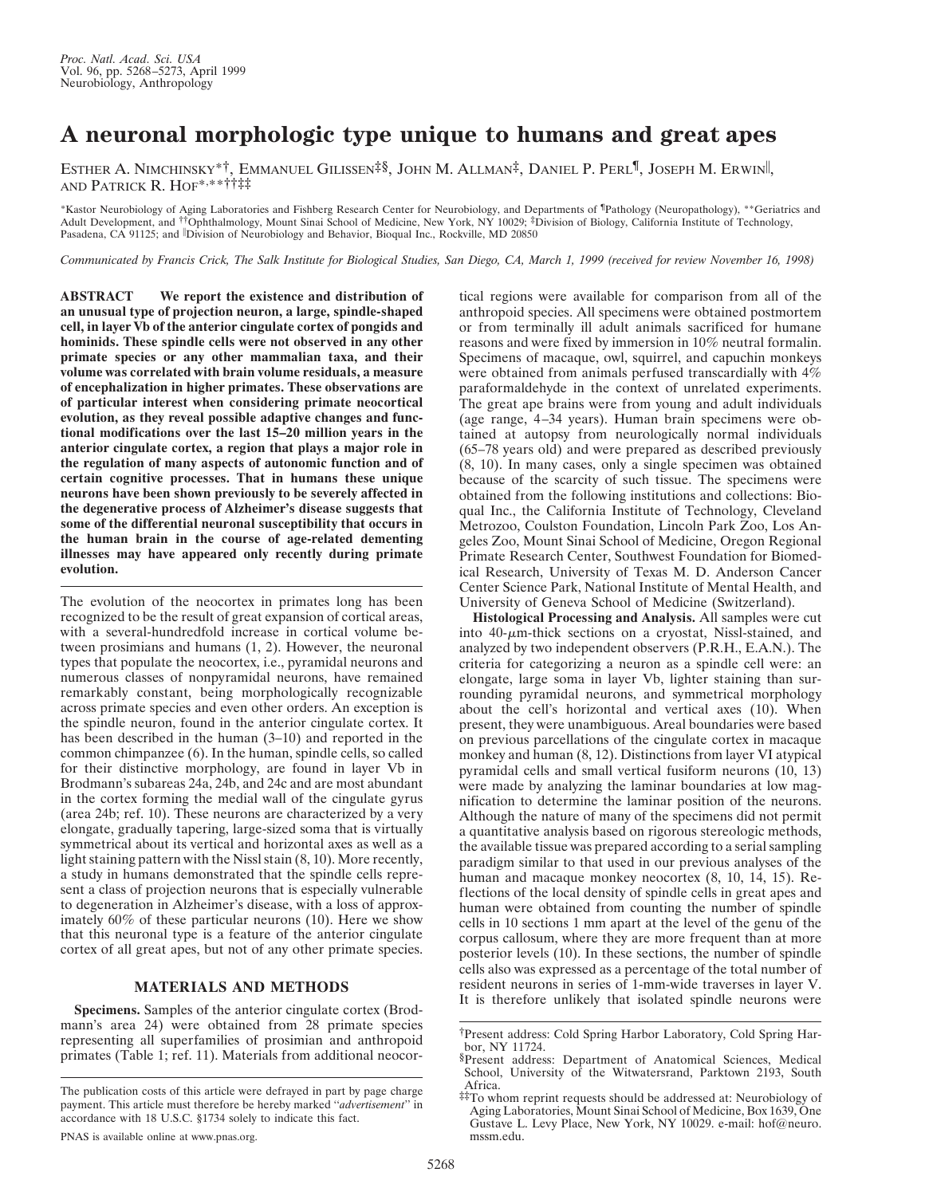## **A neuronal morphologic type unique to humans and great apes**

ESTHER A. NIMCHINSKY\*<sup>†</sup>, EMMANUEL GILISSEN<sup>‡§</sup>, JOHN M. ALLMAN<sup>‡</sup>, DANIEL P. PERL<sup>¶</sup>, JOSEPH M. ERWIN<sup>||</sup>, AND PATRICK R. HOF\*, \*\*††‡‡

\*Kastor Neurobiology of Aging Laboratories and Fishberg Research Center for Neurobiology, and Departments of ¶Pathology (Neuropathology), \*\*Geriatrics and Adult Development, and ††Ophthalmology, Mount Sinai School of Medicine, New York, NY 10029; ‡Division of Biology, California Institute of Technology, Pasadena, CA 91125; and *Division of Neurobiology and Behavior*, Bioqual Inc., Rockville, MD 20850

*Communicated by Francis Crick, The Salk Institute for Biological Studies, San Diego, CA, March 1, 1999 (received for review November 16, 1998)*

**ABSTRACT We report the existence and distribution of an unusual type of projection neuron, a large, spindle-shaped cell, in layer Vb of the anterior cingulate cortex of pongids and hominids. These spindle cells were not observed in any other primate species or any other mammalian taxa, and their volume was correlated with brain volume residuals, a measure of encephalization in higher primates. These observations are of particular interest when considering primate neocortical evolution, as they reveal possible adaptive changes and functional modifications over the last 15–20 million years in the anterior cingulate cortex, a region that plays a major role in the regulation of many aspects of autonomic function and of certain cognitive processes. That in humans these unique neurons have been shown previously to be severely affected in the degenerative process of Alzheimer's disease suggests that some of the differential neuronal susceptibility that occurs in the human brain in the course of age-related dementing illnesses may have appeared only recently during primate evolution.**

The evolution of the neocortex in primates long has been recognized to be the result of great expansion of cortical areas, with a several-hundredfold increase in cortical volume between prosimians and humans (1, 2). However, the neuronal types that populate the neocortex, i.e., pyramidal neurons and numerous classes of nonpyramidal neurons, have remained remarkably constant, being morphologically recognizable across primate species and even other orders. An exception is the spindle neuron, found in the anterior cingulate cortex. It has been described in the human (3–10) and reported in the common chimpanzee (6). In the human, spindle cells, so called for their distinctive morphology, are found in layer Vb in Brodmann's subareas 24a, 24b, and 24c and are most abundant in the cortex forming the medial wall of the cingulate gyrus (area 24b; ref. 10). These neurons are characterized by a very elongate, gradually tapering, large-sized soma that is virtually symmetrical about its vertical and horizontal axes as well as a light staining pattern with the Nissl stain (8, 10). More recently, a study in humans demonstrated that the spindle cells represent a class of projection neurons that is especially vulnerable to degeneration in Alzheimer's disease, with a loss of approximately 60% of these particular neurons (10). Here we show that this neuronal type is a feature of the anterior cingulate cortex of all great apes, but not of any other primate species.

## **MATERIALS AND METHODS**

**Specimens.** Samples of the anterior cingulate cortex (Brodmann's area 24) were obtained from 28 primate species representing all superfamilies of prosimian and anthropoid primates (Table 1; ref. 11). Materials from additional neocortical regions were available for comparison from all of the anthropoid species. All specimens were obtained postmortem or from terminally ill adult animals sacrificed for humane reasons and were fixed by immersion in 10% neutral formalin. Specimens of macaque, owl, squirrel, and capuchin monkeys were obtained from animals perfused transcardially with 4% paraformaldehyde in the context of unrelated experiments. The great ape brains were from young and adult individuals (age range, 4–34 years). Human brain specimens were obtained at autopsy from neurologically normal individuals (65–78 years old) and were prepared as described previously (8, 10). In many cases, only a single specimen was obtained because of the scarcity of such tissue. The specimens were obtained from the following institutions and collections: Bioqual Inc., the California Institute of Technology, Cleveland Metrozoo, Coulston Foundation, Lincoln Park Zoo, Los Angeles Zoo, Mount Sinai School of Medicine, Oregon Regional Primate Research Center, Southwest Foundation for Biomedical Research, University of Texas M. D. Anderson Cancer Center Science Park, National Institute of Mental Health, and University of Geneva School of Medicine (Switzerland).

**Histological Processing and Analysis.** All samples were cut into  $40$ - $\mu$ m-thick sections on a cryostat, Nissl-stained, and analyzed by two independent observers (P.R.H., E.A.N.). The criteria for categorizing a neuron as a spindle cell were: an elongate, large soma in layer Vb, lighter staining than surrounding pyramidal neurons, and symmetrical morphology about the cell's horizontal and vertical axes (10). When present, they were unambiguous. Areal boundaries were based on previous parcellations of the cingulate cortex in macaque monkey and human (8, 12). Distinctions from layer VI atypical pyramidal cells and small vertical fusiform neurons (10, 13) were made by analyzing the laminar boundaries at low magnification to determine the laminar position of the neurons. Although the nature of many of the specimens did not permit a quantitative analysis based on rigorous stereologic methods, the available tissue was prepared according to a serial sampling paradigm similar to that used in our previous analyses of the human and macaque monkey neocortex (8, 10, 14, 15). Reflections of the local density of spindle cells in great apes and human were obtained from counting the number of spindle cells in 10 sections 1 mm apart at the level of the genu of the corpus callosum, where they are more frequent than at more posterior levels (10). In these sections, the number of spindle cells also was expressed as a percentage of the total number of resident neurons in series of 1-mm-wide traverses in layer V. It is therefore unlikely that isolated spindle neurons were

The publication costs of this article were defrayed in part by page charge payment. This article must therefore be hereby marked ''*advertisement*'' in accordance with 18 U.S.C. §1734 solely to indicate this fact.

<sup>†</sup>Present address: Cold Spring Harbor Laboratory, Cold Spring Harbor, NY 11724.

<sup>§</sup>Present address: Department of Anatomical Sciences, Medical School, University of the Witwatersrand, Parktown 2193, South Africa.

<sup>‡‡</sup>To whom reprint requests should be addressed at: Neurobiology of Aging Laboratories, Mount Sinai School of Medicine, Box 1639, One Gustave L. Levy Place, New York, NY 10029. e-mail: hof@neuro. mssm.edu.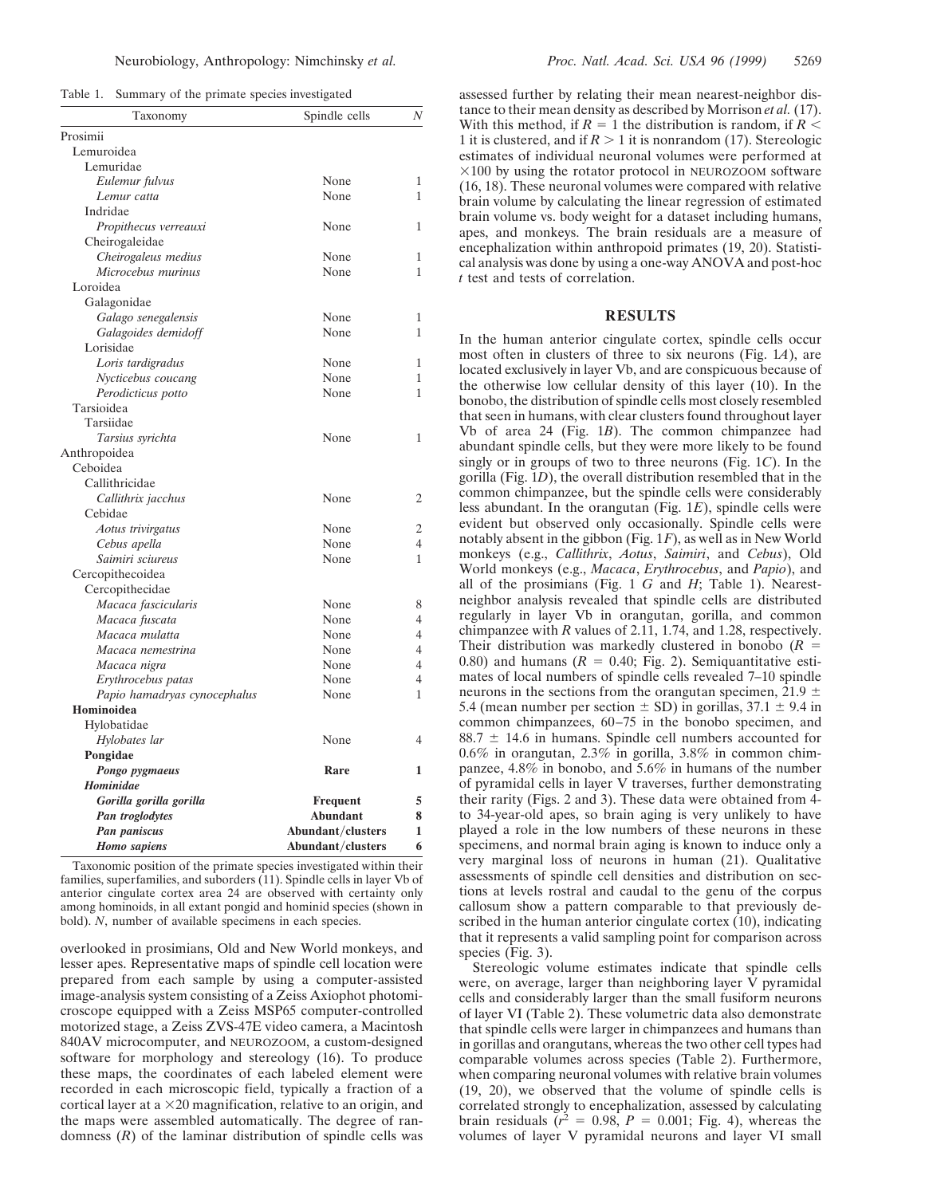|  |  | Table 1. Summary of the primate species investigated |
|--|--|------------------------------------------------------|
|  |  |                                                      |

| Taxonomy                      | Spindle cells     | Ν              |
|-------------------------------|-------------------|----------------|
| Prosimii                      |                   |                |
| Lemuroidea                    |                   |                |
| Lemuridae                     |                   |                |
| Eulemur fulvus                | None              | 1              |
| Lemur catta                   | None              | 1              |
| Indridae                      |                   |                |
| Propithecus verreauxi         | None              | 1              |
| Cheirogaleidae                |                   |                |
| Cheirogaleus medius           | None              | 1              |
| Microcebus murinus            | None              | 1              |
| Loroidea                      |                   |                |
| Galagonidae                   |                   |                |
| Galago senegalensis           | None              | 1              |
| Galagoides demidoff           | None              | 1              |
| Lorisidae                     |                   |                |
| Loris tardigradus             | None              | 1              |
| Nycticebus coucang            | None              | 1              |
| Perodicticus potto            | None              | 1              |
| Tarsioidea                    |                   |                |
| Tarsiidae                     |                   |                |
| Tarsius syrichta              | None              | 1              |
| Anthropoidea                  |                   |                |
| Ceboidea                      |                   |                |
| Callithricidae                |                   |                |
|                               | None              | 2              |
| Callithrix jacchus<br>Cebidae |                   |                |
|                               | None              | 2              |
| Aotus trivirgatus             | None              | 4              |
| Cebus apella                  | None              | 1              |
| Saimiri sciureus              |                   |                |
| Cercopithecoidea              |                   |                |
| Cercopithecidae               |                   |                |
| Macaca fascicularis           | None              | 8              |
| Macaca fuscata                | None              | 4              |
| Macaca mulatta                | None              | 4              |
| Macaca nemestrina             | None              | 4              |
| Macaca nigra                  | None              | 4              |
| Erythrocebus patas            | None              | $\overline{4}$ |
| Papio hamadryas cynocephalus  | None              | 1              |
| Hominoidea                    |                   |                |
| Hylobatidae                   |                   |                |
| Hylobates lar                 | None              | 4              |
| Pongidae                      |                   |                |
| Pongo pygmaeus                | Rare              | 1              |
| Hominidae                     |                   |                |
| Gorilla gorilla gorilla       | <b>Frequent</b>   | 5              |
| Pan troglodytes               | Abundant          | 8              |
| Pan paniscus                  | Abundant/clusters | 1              |
| <b>Homo</b> sapiens           | Abundant/clusters | 6              |

Taxonomic position of the primate species investigated within their families, superfamilies, and suborders (11). Spindle cells in layer Vb of anterior cingulate cortex area 24 are observed with certainty only among hominoids, in all extant pongid and hominid species (shown in bold). *N*, number of available specimens in each species.

overlooked in prosimians, Old and New World monkeys, and lesser apes. Representative maps of spindle cell location were prepared from each sample by using a computer-assisted image-analysis system consisting of a Zeiss Axiophot photomicroscope equipped with a Zeiss MSP65 computer-controlled motorized stage, a Zeiss ZVS-47E video camera, a Macintosh 840AV microcomputer, and NEUROZOOM, a custom-designed software for morphology and stereology (16). To produce these maps, the coordinates of each labeled element were recorded in each microscopic field, typically a fraction of a cortical layer at a  $\times$  20 magnification, relative to an origin, and the maps were assembled automatically. The degree of randomness  $(R)$  of the laminar distribution of spindle cells was assessed further by relating their mean nearest-neighbor distance to their mean density as described by Morrison *et al.* (17). With this method, if  $R = 1$  the distribution is random, if  $R <$ 1 it is clustered, and if  $R > 1$  it is nonrandom (17). Stereologic estimates of individual neuronal volumes were performed at  $\times$ 100 by using the rotator protocol in NEUROZOOM software (16, 18). These neuronal volumes were compared with relative brain volume by calculating the linear regression of estimated brain volume vs. body weight for a dataset including humans, apes, and monkeys. The brain residuals are a measure of encephalization within anthropoid primates (19, 20). Statistical analysis was done by using a one-way ANOVA and post-hoc *t* test and tests of correlation.

## **RESULTS**

In the human anterior cingulate cortex, spindle cells occur most often in clusters of three to six neurons (Fig. 1*A*), are located exclusively in layer Vb, and are conspicuous because of the otherwise low cellular density of this layer (10). In the bonobo, the distribution of spindle cells most closely resembled that seen in humans, with clear clusters found throughout layer Vb of area 24 (Fig. 1*B*). The common chimpanzee had abundant spindle cells, but they were more likely to be found singly or in groups of two to three neurons (Fig. 1*C*). In the gorilla (Fig. 1*D*), the overall distribution resembled that in the common chimpanzee, but the spindle cells were considerably less abundant. In the orangutan (Fig. 1*E*), spindle cells were evident but observed only occasionally. Spindle cells were notably absent in the gibbon (Fig. 1*F*), as well as in New World monkeys (e.g., *Callithrix*, *Aotus*, *Saimiri*, and *Cebus*), Old World monkeys (e.g., *Macaca*, *Erythrocebus*, and *Papio*), and all of the prosimians (Fig. 1 *G* and *H*; Table 1). Nearestneighbor analysis revealed that spindle cells are distributed regularly in layer Vb in orangutan, gorilla, and common chimpanzee with *R* values of 2.11, 1.74, and 1.28, respectively. Their distribution was markedly clustered in bonobo  $(R =$ 0.80) and humans  $(R = 0.40; Fig. 2)$ . Semiquantitative estimates of local numbers of spindle cells revealed 7–10 spindle neurons in the sections from the orangutan specimen, 21.9  $\pm$ 5.4 (mean number per section  $\pm$  SD) in gorillas, 37.1  $\pm$  9.4 in common chimpanzees, 60–75 in the bonobo specimen, and  $88.7 \pm 14.6$  in humans. Spindle cell numbers accounted for 0.6% in orangutan, 2.3% in gorilla, 3.8% in common chimpanzee, 4.8% in bonobo, and 5.6% in humans of the number of pyramidal cells in layer V traverses, further demonstrating their rarity (Figs. 2 and 3). These data were obtained from 4 to 34-year-old apes, so brain aging is very unlikely to have played a role in the low numbers of these neurons in these specimens, and normal brain aging is known to induce only a very marginal loss of neurons in human (21). Qualitative assessments of spindle cell densities and distribution on sections at levels rostral and caudal to the genu of the corpus callosum show a pattern comparable to that previously described in the human anterior cingulate cortex  $(10)$ , indicating that it represents a valid sampling point for comparison across species (Fig. 3).

Stereologic volume estimates indicate that spindle cells were, on average, larger than neighboring layer V pyramidal cells and considerably larger than the small fusiform neurons of layer VI (Table 2). These volumetric data also demonstrate that spindle cells were larger in chimpanzees and humans than in gorillas and orangutans, whereas the two other cell types had comparable volumes across species (Table 2). Furthermore, when comparing neuronal volumes with relative brain volumes (19, 20), we observed that the volume of spindle cells is correlated strongly to encephalization, assessed by calculating brain residuals  $(r^2 = 0.98, P = 0.001;$  Fig. 4), whereas the volumes of layer V pyramidal neurons and layer VI small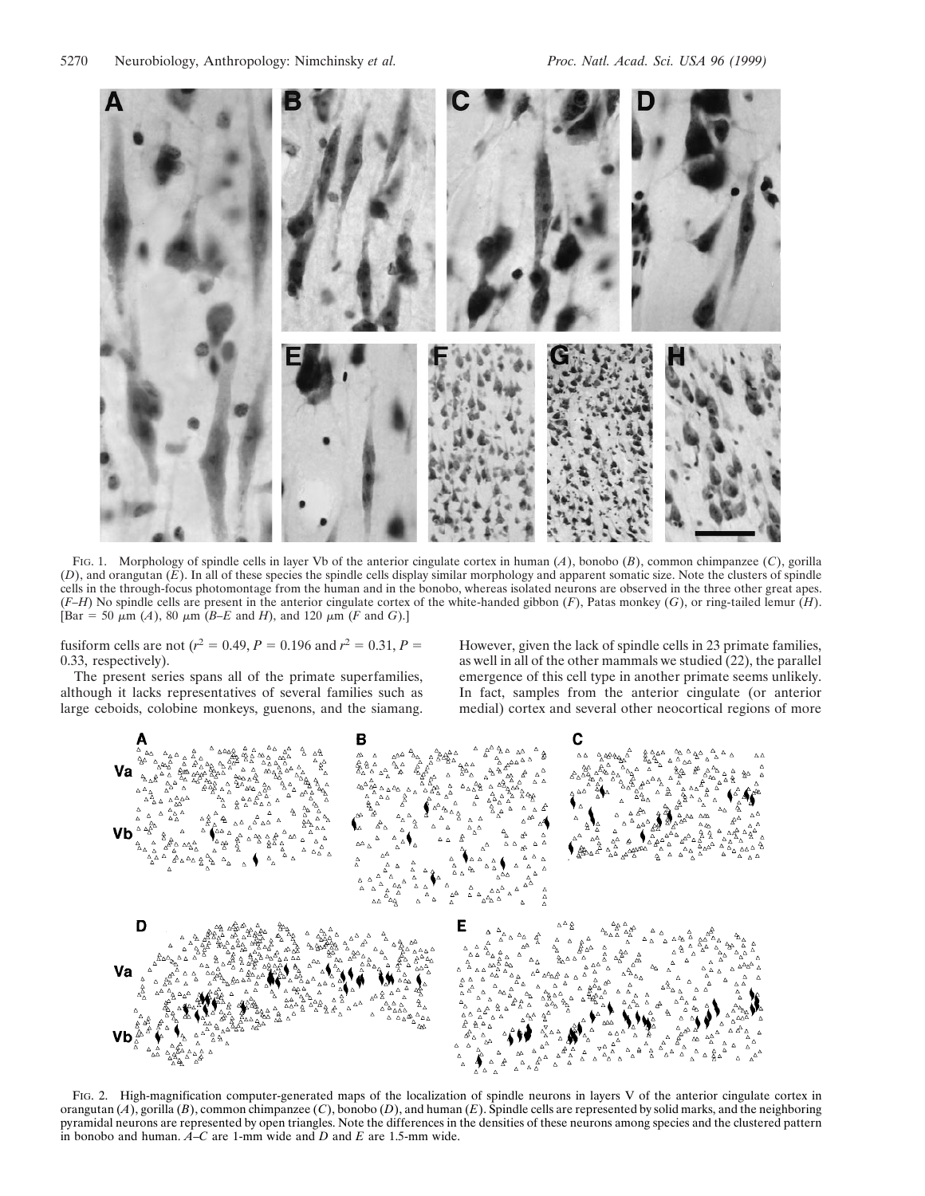

FIG. 1. Morphology of spindle cells in layer Vb of the anterior cingulate cortex in human (*A*), bonobo (*B*), common chimpanzee (*C*), gorilla (*D*), and orangutan (*E*). In all of these species the spindle cells display similar morphology and apparent somatic size. Note the clusters of spindle cells in the through-focus photomontage from the human and in the bonobo, whereas isolated neurons are observed in the three other great apes. (*F–H*) No spindle cells are present in the anterior cingulate cortex of the white-handed gibbon (*F*), Patas monkey (*G*), or ring-tailed lemur (*H*).  $[\text{Bar} = 50 \ \mu \text{m } (A), 80 \ \mu \text{m } (B-E \text{ and } H), \text{ and } 120 \ \mu \text{m } (F \text{ and } G).]$ 

fusiform cells are not ( $r^2 = 0.49$ ,  $P = 0.196$  and  $r^2 = 0.31$ ,  $P =$ 0.33, respectively).

The present series spans all of the primate superfamilies, although it lacks representatives of several families such as large ceboids, colobine monkeys, guenons, and the siamang. However, given the lack of spindle cells in 23 primate families, as well in all of the other mammals we studied (22), the parallel emergence of this cell type in another primate seems unlikely. In fact, samples from the anterior cingulate (or anterior medial) cortex and several other neocortical regions of more



FIG. 2. High-magnification computer-generated maps of the localization of spindle neurons in layers V of the anterior cingulate cortex in orangutan (*A*), gorilla (*B*), common chimpanzee (*C*), bonobo (*D*), and human (*E*). Spindle cells are represented by solid marks, and the neighboring pyramidal neurons are represented by open triangles. Note the differences in the densities of these neurons among species and the clustered pattern in bonobo and human.  $\vec{A}$ –*C* are 1-mm wide and *D* and *E* are 1.5-mm wide.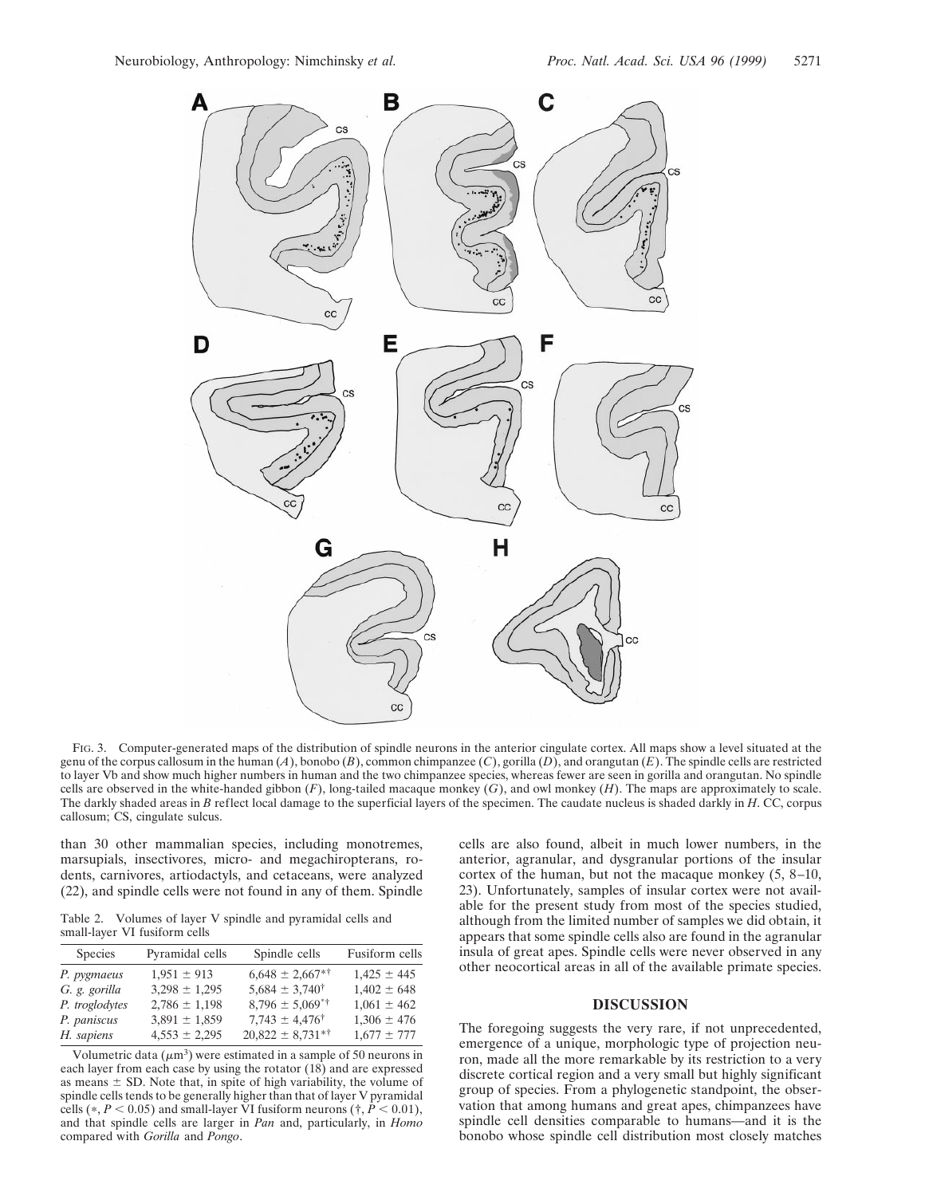

FIG. 3. Computer-generated maps of the distribution of spindle neurons in the anterior cingulate cortex. All maps show a level situated at the genu of the corpus callosum in the human  $(A)$ , bonobo  $(B)$ , common chimpanzee  $(C)$ , gorilla  $(D)$ , and orangutan  $(E)$ . The spindle cells are restricted to layer Vb and show much higher numbers in human and the two chimpanzee species, whereas fewer are seen in gorilla and orangutan. No spindle cells are observed in the white-handed gibbon (*F*), long-tailed macaque monkey (*G*), and owl monkey (*H*). The maps are approximately to scale. The darkly shaded areas in *B* reflect local damage to the superficial layers of the specimen. The caudate nucleus is shaded darkly in *H*. CC, corpus callosum; CS, cingulate sulcus.

than 30 other mammalian species, including monotremes, marsupials, insectivores, micro- and megachiropterans, rodents, carnivores, artiodactyls, and cetaceans, were analyzed (22), and spindle cells were not found in any of them. Spindle

Table 2. Volumes of layer V spindle and pyramidal cells and small-layer VI fusiform cells

| <b>Species</b> | Pyramidal cells   | Spindle cells               | Fusiform cells  |
|----------------|-------------------|-----------------------------|-----------------|
| P. pygmaeus    | $1,951 \pm 913$   | $6,648 \pm 2,667$ **        | $1,425 \pm 445$ |
| G. g. gorilla  | $3,298 \pm 1,295$ | $5,684 \pm 3,740^{\dagger}$ | $1,402 \pm 648$ |
| P. troglodytes | $2,786 \pm 1,198$ | $8,796 \pm 5,069$ **        | $1,061 \pm 462$ |
| P. paniscus    | $3,891 \pm 1,859$ | $7,743 \pm 4,476^{\dagger}$ | $1,306 \pm 476$ |
| H. sapiens     | $4,553 \pm 2,295$ | $20,822 \pm 8,731$ *†       | $1,677 \pm 777$ |

Volumetric data  $(\mu m^3)$  were estimated in a sample of 50 neurons in each layer from each case by using the rotator (18) and are expressed as means  $\pm$  SD. Note that, in spite of high variability, the volume of spindle cells tends to be generally higher than that of layer V pyramidal cells  $(*, P < 0.05)$  and small-layer VI fusiform neurons  $(*, P < 0.01)$ , and that spindle cells are larger in *Pan* and, particularly, in *Homo* compared with *Gorilla* and *Pongo*.

cells are also found, albeit in much lower numbers, in the anterior, agranular, and dysgranular portions of the insular cortex of the human, but not the macaque monkey (5, 8–10, 23). Unfortunately, samples of insular cortex were not available for the present study from most of the species studied, although from the limited number of samples we did obtain, it appears that some spindle cells also are found in the agranular insula of great apes. Spindle cells were never observed in any other neocortical areas in all of the available primate species.

## **DISCUSSION**

The foregoing suggests the very rare, if not unprecedented, emergence of a unique, morphologic type of projection neuron, made all the more remarkable by its restriction to a very discrete cortical region and a very small but highly significant group of species. From a phylogenetic standpoint, the observation that among humans and great apes, chimpanzees have spindle cell densities comparable to humans—and it is the bonobo whose spindle cell distribution most closely matches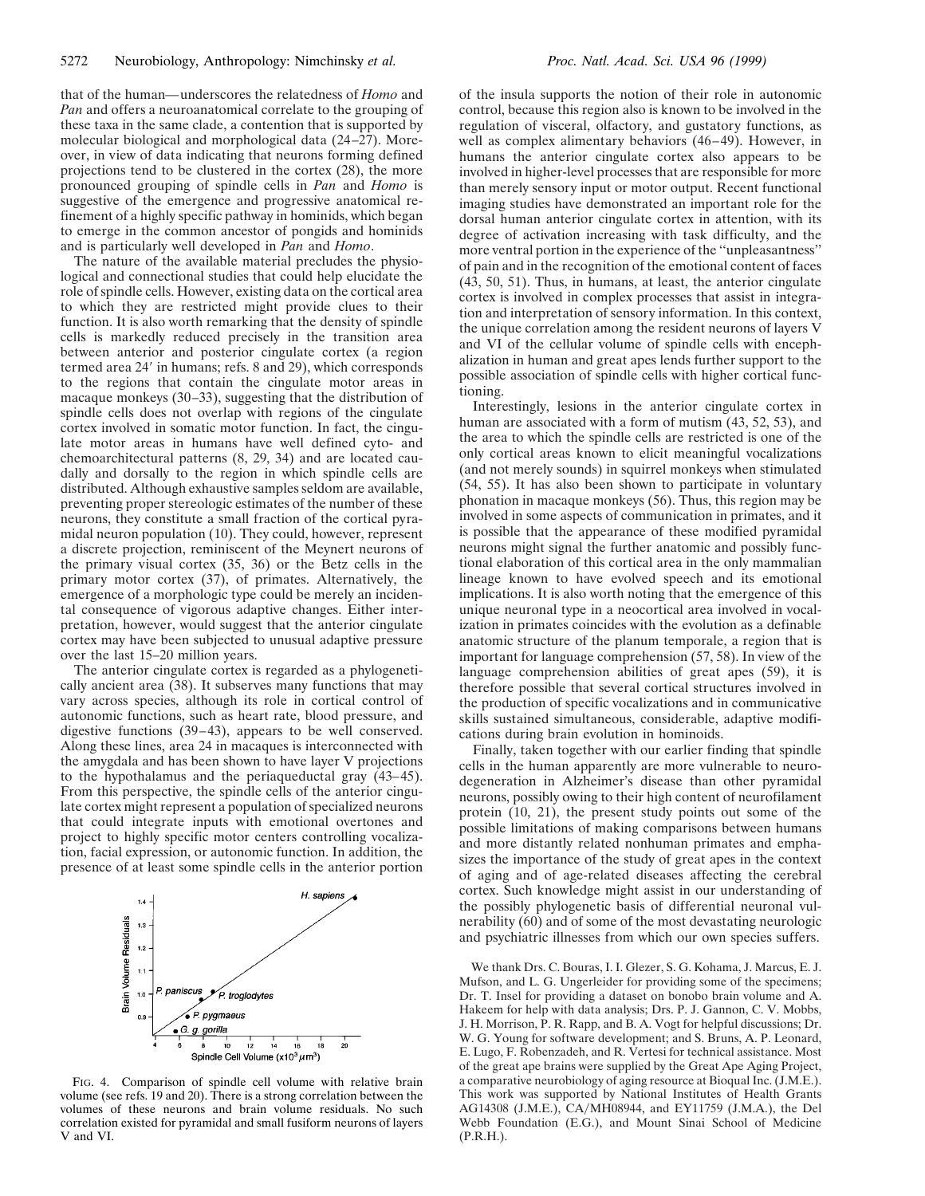that of the human—underscores the relatedness of *Homo* and *Pan* and offers a neuroanatomical correlate to the grouping of these taxa in the same clade, a contention that is supported by molecular biological and morphological data  $(24–27)$ . Moreover, in view of data indicating that neurons forming defined projections tend to be clustered in the cortex (28), the more pronounced grouping of spindle cells in *Pan* and *Homo* is suggestive of the emergence and progressive anatomical refinement of a highly specific pathway in hominids, which began to emerge in the common ancestor of pongids and hominids and is particularly well developed in *Pan* and *Homo*.

The nature of the available material precludes the physiological and connectional studies that could help elucidate the role of spindle cells. However, existing data on the cortical area to which they are restricted might provide clues to their function. It is also worth remarking that the density of spindle cells is markedly reduced precisely in the transition area between anterior and posterior cingulate cortex (a region termed area 24' in humans; refs. 8 and 29), which corresponds to the regions that contain the cingulate motor areas in macaque monkeys (30–33), suggesting that the distribution of spindle cells does not overlap with regions of the cingulate cortex involved in somatic motor function. In fact, the cingulate motor areas in humans have well defined cyto- and chemoarchitectural patterns (8, 29, 34) and are located caudally and dorsally to the region in which spindle cells are distributed. Although exhaustive samples seldom are available, preventing proper stereologic estimates of the number of these neurons, they constitute a small fraction of the cortical pyramidal neuron population (10). They could, however, represent a discrete projection, reminiscent of the Meynert neurons of the primary visual cortex (35, 36) or the Betz cells in the primary motor cortex (37), of primates. Alternatively, the emergence of a morphologic type could be merely an incidental consequence of vigorous adaptive changes. Either interpretation, however, would suggest that the anterior cingulate cortex may have been subjected to unusual adaptive pressure over the last 15–20 million years.

The anterior cingulate cortex is regarded as a phylogenetically ancient area (38). It subserves many functions that may vary across species, although its role in cortical control of autonomic functions, such as heart rate, blood pressure, and digestive functions (39–43), appears to be well conserved. Along these lines, area 24 in macaques is interconnected with the amygdala and has been shown to have layer V projections to the hypothalamus and the periaqueductal gray (43–45). From this perspective, the spindle cells of the anterior cingulate cortex might represent a population of specialized neurons that could integrate inputs with emotional overtones and project to highly specific motor centers controlling vocalization, facial expression, or autonomic function. In addition, the presence of at least some spindle cells in the anterior portion



FIG. 4. Comparison of spindle cell volume with relative brain volume (see refs. 19 and 20). There is a strong correlation between the volumes of these neurons and brain volume residuals. No such correlation existed for pyramidal and small fusiform neurons of layers V and VI.

of the insula supports the notion of their role in autonomic control, because this region also is known to be involved in the regulation of visceral, olfactory, and gustatory functions, as well as complex alimentary behaviors (46–49). However, in humans the anterior cingulate cortex also appears to be involved in higher-level processes that are responsible for more than merely sensory input or motor output. Recent functional imaging studies have demonstrated an important role for the dorsal human anterior cingulate cortex in attention, with its degree of activation increasing with task difficulty, and the more ventral portion in the experience of the ''unpleasantness'' of pain and in the recognition of the emotional content of faces (43, 50, 51). Thus, in humans, at least, the anterior cingulate cortex is involved in complex processes that assist in integration and interpretation of sensory information. In this context, the unique correlation among the resident neurons of layers V and VI of the cellular volume of spindle cells with encephalization in human and great apes lends further support to the possible association of spindle cells with higher cortical functioning.

Interestingly, lesions in the anterior cingulate cortex in human are associated with a form of mutism (43, 52, 53), and the area to which the spindle cells are restricted is one of the only cortical areas known to elicit meaningful vocalizations (and not merely sounds) in squirrel monkeys when stimulated (54, 55). It has also been shown to participate in voluntary phonation in macaque monkeys (56). Thus, this region may be involved in some aspects of communication in primates, and it is possible that the appearance of these modified pyramidal neurons might signal the further anatomic and possibly functional elaboration of this cortical area in the only mammalian lineage known to have evolved speech and its emotional implications. It is also worth noting that the emergence of this unique neuronal type in a neocortical area involved in vocalization in primates coincides with the evolution as a definable anatomic structure of the planum temporale, a region that is important for language comprehension (57, 58). In view of the language comprehension abilities of great apes (59), it is therefore possible that several cortical structures involved in the production of specific vocalizations and in communicative skills sustained simultaneous, considerable, adaptive modifications during brain evolution in hominoids.

Finally, taken together with our earlier finding that spindle cells in the human apparently are more vulnerable to neurodegeneration in Alzheimer's disease than other pyramidal neurons, possibly owing to their high content of neurofilament protein (10, 21), the present study points out some of the possible limitations of making comparisons between humans and more distantly related nonhuman primates and emphasizes the importance of the study of great apes in the context of aging and of age-related diseases affecting the cerebral cortex. Such knowledge might assist in our understanding of the possibly phylogenetic basis of differential neuronal vulnerability (60) and of some of the most devastating neurologic and psychiatric illnesses from which our own species suffers.

We thank Drs. C. Bouras, I. I. Glezer, S. G. Kohama, J. Marcus, E. J. Mufson, and L. G. Ungerleider for providing some of the specimens; Dr. T. Insel for providing a dataset on bonobo brain volume and A. Hakeem for help with data analysis; Drs. P. J. Gannon, C. V. Mobbs, J. H. Morrison, P. R. Rapp, and B. A. Vogt for helpful discussions; Dr. W. G. Young for software development; and S. Bruns, A. P. Leonard, E. Lugo, F. Robenzadeh, and R. Vertesi for technical assistance. Most of the great ape brains were supplied by the Great Ape Aging Project, a comparative neurobiology of aging resource at Bioqual Inc. (J.M.E.). This work was supported by National Institutes of Health Grants AG14308 (J.M.E.), CA/MH08944, and EY11759 (J.M.A.), the Del Webb Foundation (E.G.), and Mount Sinai School of Medicine (P.R.H.).